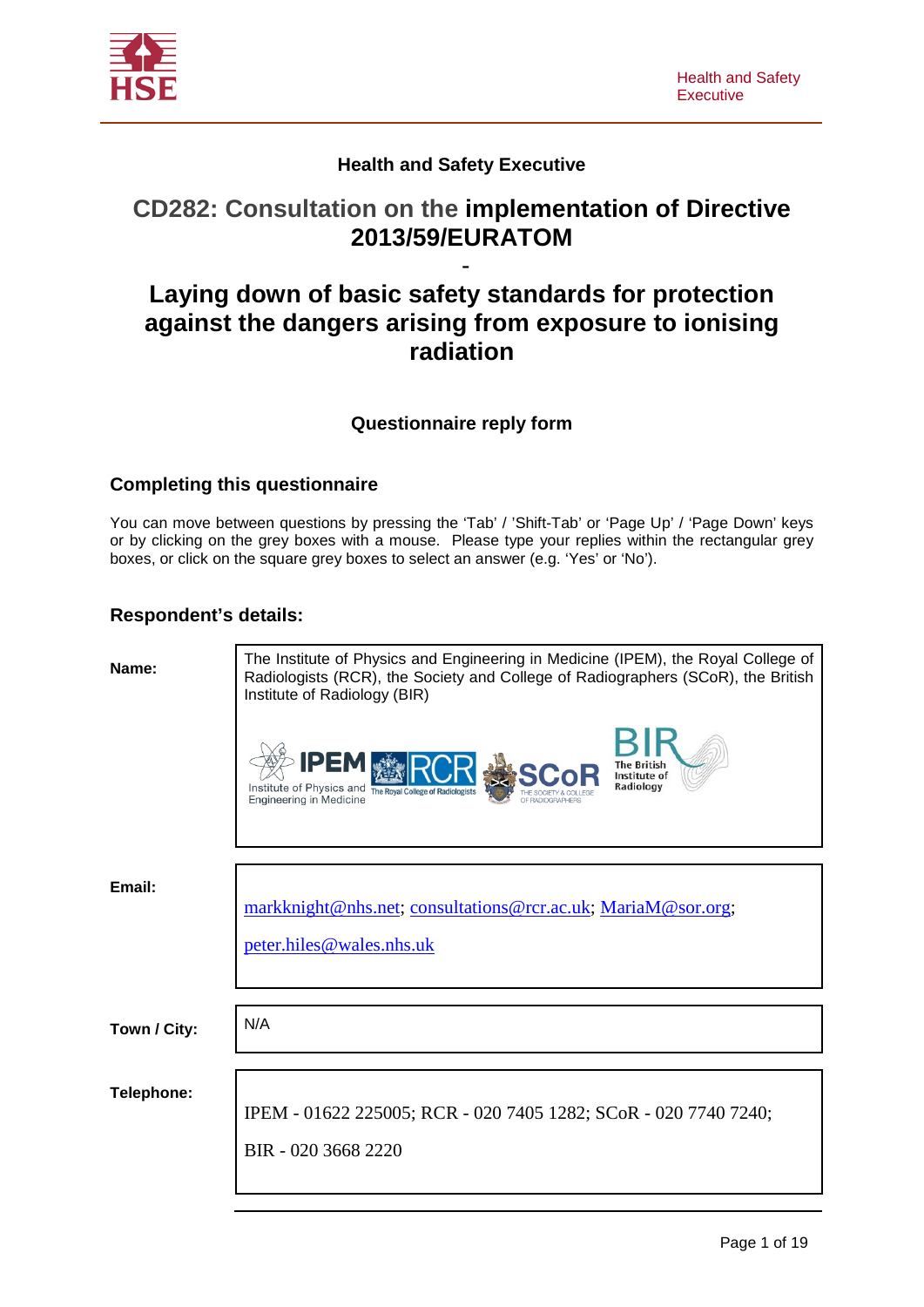

### **Health and Safety Executive**

# **CD282: Consultation on the implementation of Directive 2013/59/EURATOM**

# - **Laying down of basic safety standards for protection against the dangers arising from exposure to ionising radiation**

### **Questionnaire reply form**

#### **Completing this questionnaire**

You can move between questions by pressing the 'Tab' / 'Shift-Tab' or 'Page Up' / 'Page Down' keys or by clicking on the grey boxes with a mouse. Please type your replies within the rectangular grey boxes, or click on the square grey boxes to select an answer (e.g. 'Yes' or 'No').

#### **Respondent's details:**

| The Institute of Physics and Engineering in Medicine (IPEM), the Royal College of<br>Radiologists (RCR), the Society and College of Radiographers (SCoR), the British<br>Institute of Radiology (BIR) |  |  |
|-------------------------------------------------------------------------------------------------------------------------------------------------------------------------------------------------------|--|--|
| IPEM<br>Institute of<br>Radiology<br>Institute of Physics and The Royal College of Radiolog<br><b>Engineering in Medicine</b>                                                                         |  |  |
|                                                                                                                                                                                                       |  |  |
| markknight@nhs.net; consultations@rcr.ac.uk; MariaM@sor.org;<br>peter.hiles@wales.nhs.uk                                                                                                              |  |  |
|                                                                                                                                                                                                       |  |  |
| N/A                                                                                                                                                                                                   |  |  |
|                                                                                                                                                                                                       |  |  |
| IPEM - 01622 225005; RCR - 020 7405 1282; SCoR - 020 7740 7240;                                                                                                                                       |  |  |
| BIR - 020 3668 2220                                                                                                                                                                                   |  |  |
|                                                                                                                                                                                                       |  |  |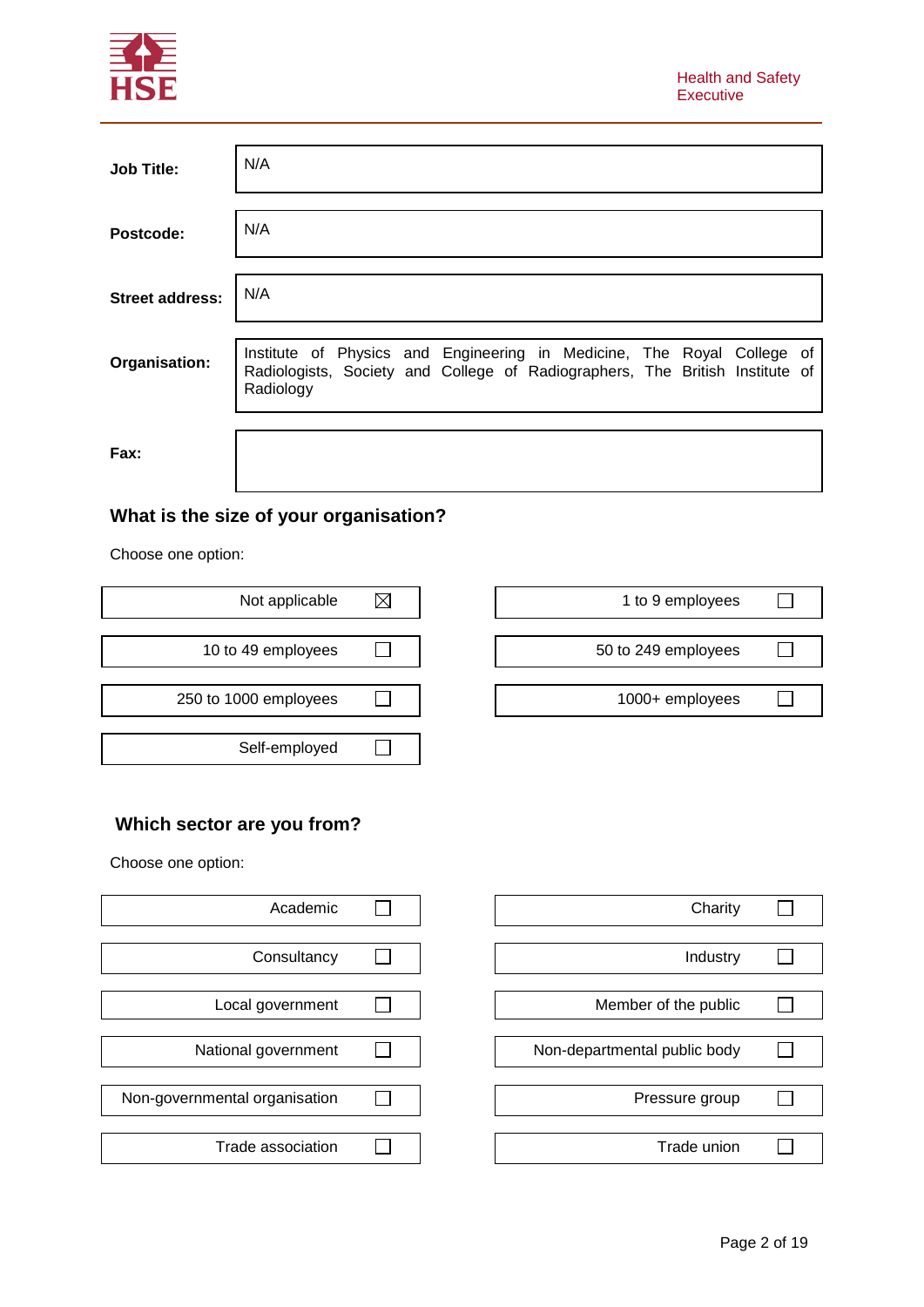

| <b>Job Title:</b>      | N/A                                                                                                                                                                 |
|------------------------|---------------------------------------------------------------------------------------------------------------------------------------------------------------------|
| Postcode:              | N/A                                                                                                                                                                 |
| <b>Street address:</b> | N/A                                                                                                                                                                 |
| Organisation:          | Institute of Physics and Engineering in Medicine, The Royal College of<br>Radiologists, Society and College of Radiographers, The British Institute of<br>Radiology |
| Fax:                   |                                                                                                                                                                     |

# **What is the size of your organisation?**

Choose one option:

| Not applicable        | 1 to 9 employees    |
|-----------------------|---------------------|
|                       |                     |
| 10 to 49 employees    | 50 to 249 employees |
|                       |                     |
| 250 to 1000 employees | 1000+ employees     |
|                       |                     |
| Self-employed         |                     |

| Not applicable     |  | 1 to 9 employees    |  |
|--------------------|--|---------------------|--|
|                    |  |                     |  |
| 10 to 49 employees |  | 50 to 249 employees |  |
|                    |  |                     |  |
| to 1000 employees  |  | 1000+ employees     |  |
|                    |  |                     |  |

┑

# **Which sector are you from?**

Choose one option:

| Academic                      |  |
|-------------------------------|--|
| Consultancy                   |  |
| Local government              |  |
| National government           |  |
|                               |  |
| Non-governmental organisation |  |
| Trade association             |  |

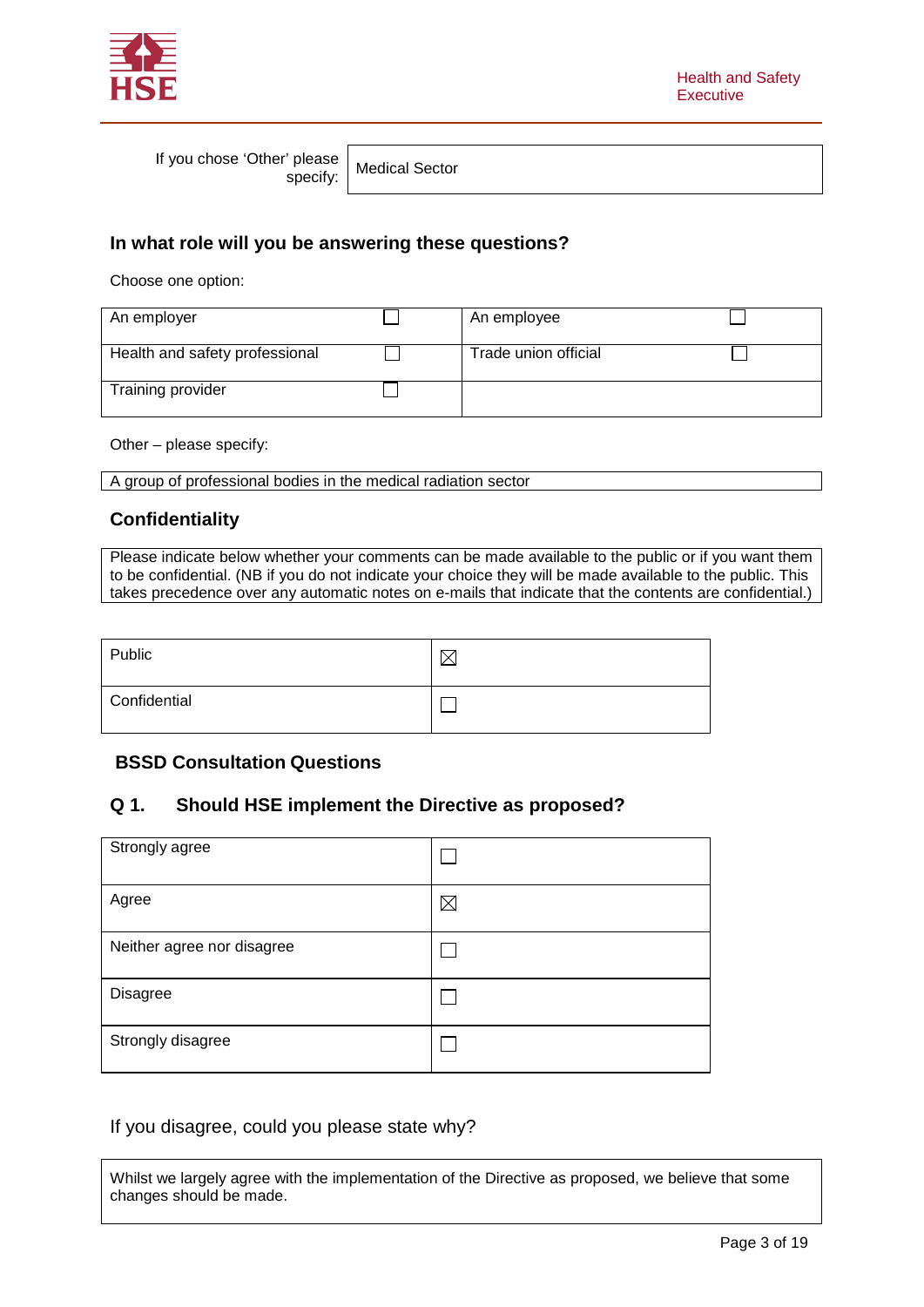

If you chose 'Other' please

Please | Medical Sector<br>specify: | Medical Sector

### **In what role will you be answering these questions?**

Choose one option:

| An employer                    | An employee          |  |
|--------------------------------|----------------------|--|
| Health and safety professional | Trade union official |  |
| Training provider              |                      |  |

Other – please specify:

A group of professional bodies in the medical radiation sector

#### **Confidentiality**

Please indicate below whether your comments can be made available to the public or if you want them to be confidential. (NB if you do not indicate your choice they will be made available to the public. This takes precedence over any automatic notes on e-mails that indicate that the contents are confidential.)

| Public       |  |
|--------------|--|
| Confidential |  |

#### **BSSD Consultation Questions**

### **Q 1. Should HSE implement the Directive as proposed?**

| Strongly agree             |             |
|----------------------------|-------------|
| Agree                      | $\boxtimes$ |
| Neither agree nor disagree |             |
| Disagree                   |             |
| Strongly disagree          |             |

#### If you disagree, could you please state why?

Whilst we largely agree with the implementation of the Directive as proposed, we believe that some changes should be made.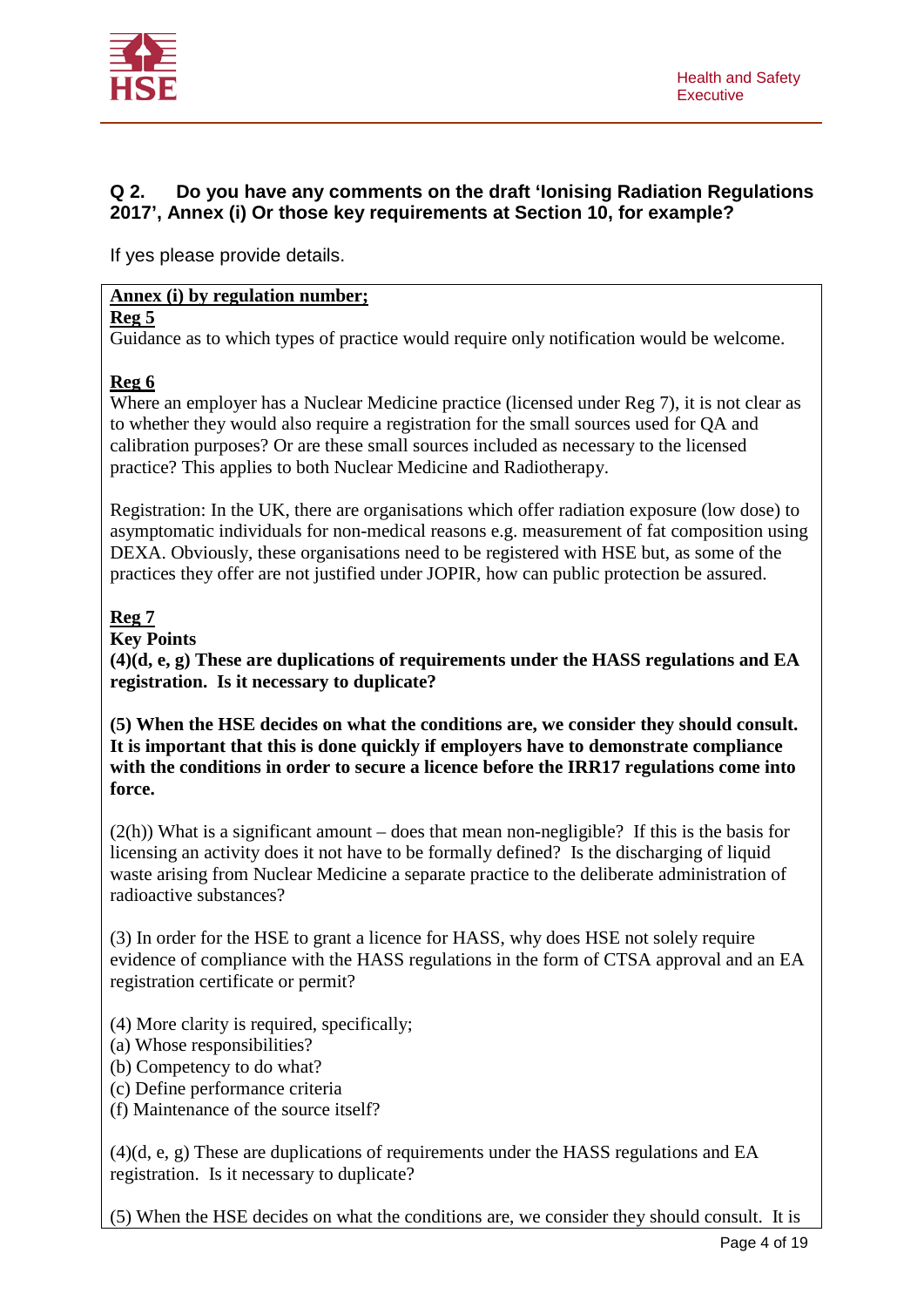

### **Q 2. Do you have any comments on the draft 'Ionising Radiation Regulations 2017', Annex (i) Or those key requirements at Section 10, for example?**

If yes please provide details.

### **Annex (i) by regulation number;**

**Reg 5**

Guidance as to which types of practice would require only notification would be welcome.

### **Reg 6**

Where an employer has a Nuclear Medicine practice (licensed under Reg 7), it is not clear as to whether they would also require a registration for the small sources used for QA and calibration purposes? Or are these small sources included as necessary to the licensed practice? This applies to both Nuclear Medicine and Radiotherapy.

Registration: In the UK, there are organisations which offer radiation exposure (low dose) to asymptomatic individuals for non-medical reasons e.g. measurement of fat composition using DEXA. Obviously, these organisations need to be registered with HSE but, as some of the practices they offer are not justified under JOPIR, how can public protection be assured.

## **Reg 7**

#### **Key Points**

**(4)(d, e, g) These are duplications of requirements under the HASS regulations and EA registration. Is it necessary to duplicate?**

**(5) When the HSE decides on what the conditions are, we consider they should consult. It is important that this is done quickly if employers have to demonstrate compliance with the conditions in order to secure a licence before the IRR17 regulations come into force.** 

 $(2(h))$  What is a significant amount – does that mean non-negligible? If this is the basis for licensing an activity does it not have to be formally defined? Is the discharging of liquid waste arising from Nuclear Medicine a separate practice to the deliberate administration of radioactive substances?

(3) In order for the HSE to grant a licence for HASS, why does HSE not solely require evidence of compliance with the HASS regulations in the form of CTSA approval and an EA registration certificate or permit?

- (4) More clarity is required, specifically;
- (a) Whose responsibilities?
- (b) Competency to do what?
- (c) Define performance criteria
- (f) Maintenance of the source itself?

(4)(d, e, g) These are duplications of requirements under the HASS regulations and EA registration. Is it necessary to duplicate?

(5) When the HSE decides on what the conditions are, we consider they should consult. It is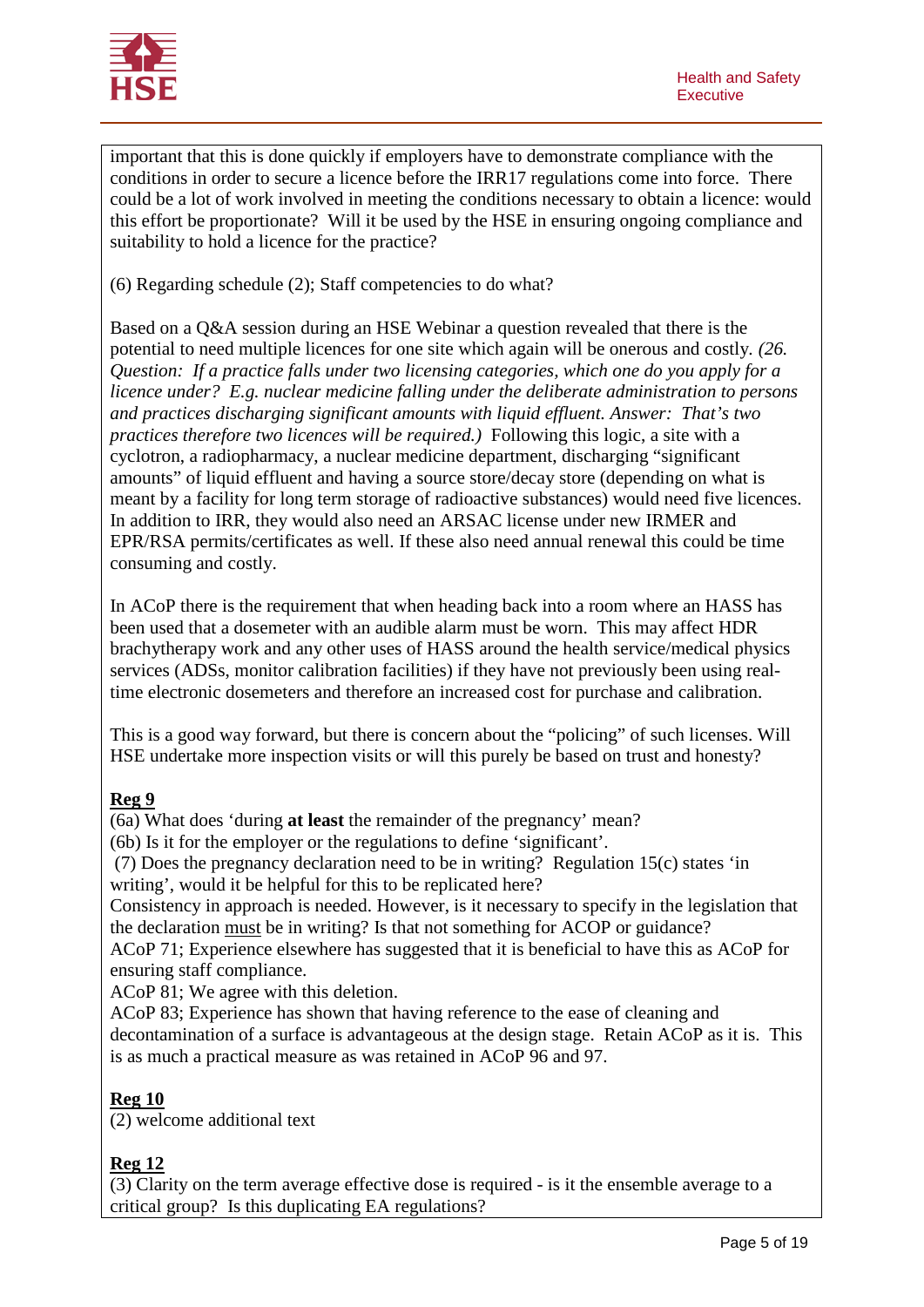

important that this is done quickly if employers have to demonstrate compliance with the conditions in order to secure a licence before the IRR17 regulations come into force. There could be a lot of work involved in meeting the conditions necessary to obtain a licence: would this effort be proportionate? Will it be used by the HSE in ensuring ongoing compliance and suitability to hold a licence for the practice?

(6) Regarding schedule (2); Staff competencies to do what?

Based on a Q&A session during an HSE Webinar a question revealed that there is the potential to need multiple licences for one site which again will be onerous and costly*. (26. Question: If a practice falls under two licensing categories, which one do you apply for a licence under? E.g. nuclear medicine falling under the deliberate administration to persons and practices discharging significant amounts with liquid effluent. Answer: That's two practices therefore two licences will be required.)* Following this logic, a site with a cyclotron, a radiopharmacy, a nuclear medicine department, discharging "significant amounts" of liquid effluent and having a source store/decay store (depending on what is meant by a facility for long term storage of radioactive substances) would need five licences. In addition to IRR, they would also need an ARSAC license under new IRMER and EPR/RSA permits/certificates as well. If these also need annual renewal this could be time consuming and costly.

In ACoP there is the requirement that when heading back into a room where an HASS has been used that a dosemeter with an audible alarm must be worn. This may affect HDR brachytherapy work and any other uses of HASS around the health service/medical physics services (ADSs, monitor calibration facilities) if they have not previously been using realtime electronic dosemeters and therefore an increased cost for purchase and calibration.

This is a good way forward, but there is concern about the "policing" of such licenses. Will HSE undertake more inspection visits or will this purely be based on trust and honesty?

### **Reg 9**

(6a) What does 'during **at least** the remainder of the pregnancy' mean?

(6b) Is it for the employer or the regulations to define 'significant'.

(7) Does the pregnancy declaration need to be in writing? Regulation 15(c) states 'in writing', would it be helpful for this to be replicated here?

Consistency in approach is needed. However, is it necessary to specify in the legislation that the declaration must be in writing? Is that not something for ACOP or guidance?

ACoP 71; Experience elsewhere has suggested that it is beneficial to have this as ACoP for ensuring staff compliance.

ACoP 81; We agree with this deletion.

ACoP 83; Experience has shown that having reference to the ease of cleaning and decontamination of a surface is advantageous at the design stage. Retain ACoP as it is. This is as much a practical measure as was retained in ACoP 96 and 97.

### **Reg 10**

(2) welcome additional text

### **Reg 12**

(3) Clarity on the term average effective dose is required - is it the ensemble average to a critical group? Is this duplicating EA regulations?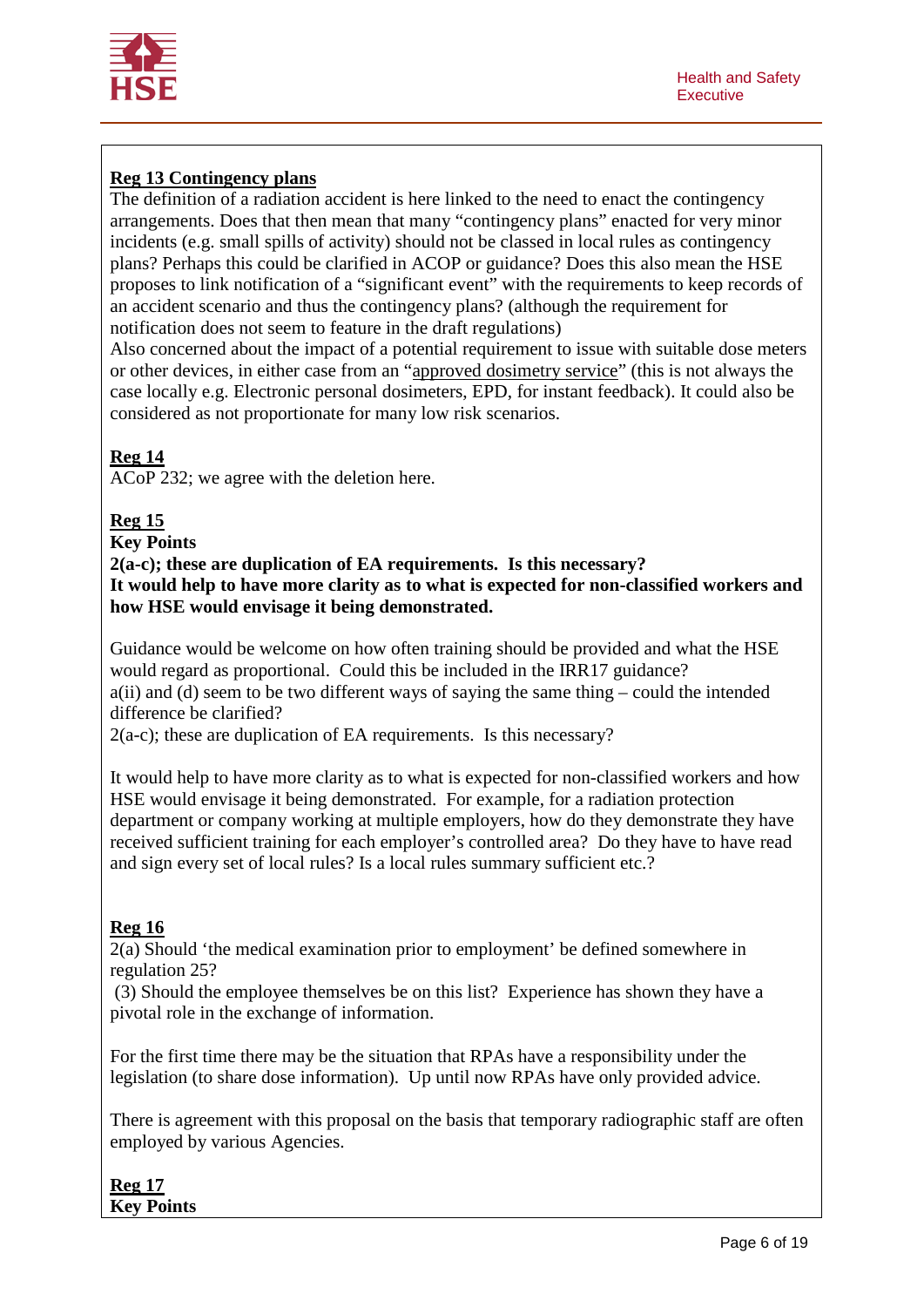

# **Reg 13 Contingency plans**

The definition of a radiation accident is here linked to the need to enact the contingency arrangements. Does that then mean that many "contingency plans" enacted for very minor incidents (e.g. small spills of activity) should not be classed in local rules as contingency plans? Perhaps this could be clarified in ACOP or guidance? Does this also mean the HSE proposes to link notification of a "significant event" with the requirements to keep records of an accident scenario and thus the contingency plans? (although the requirement for notification does not seem to feature in the draft regulations)

Also concerned about the impact of a potential requirement to issue with suitable dose meters or other devices, in either case from an "approved dosimetry service" (this is not always the case locally e.g. Electronic personal dosimeters, EPD, for instant feedback). It could also be considered as not proportionate for many low risk scenarios.

### **Reg 14**

ACoP 232; we agree with the deletion here.

### **Reg 15**

**Key Points**

**2(a-c); these are duplication of EA requirements. Is this necessary? It would help to have more clarity as to what is expected for non-classified workers and how HSE would envisage it being demonstrated.**

Guidance would be welcome on how often training should be provided and what the HSE would regard as proportional. Could this be included in the IRR17 guidance? a(ii) and (d) seem to be two different ways of saying the same thing – could the intended difference be clarified?

2(a-c); these are duplication of EA requirements. Is this necessary?

It would help to have more clarity as to what is expected for non-classified workers and how HSE would envisage it being demonstrated. For example, for a radiation protection department or company working at multiple employers, how do they demonstrate they have received sufficient training for each employer's controlled area? Do they have to have read and sign every set of local rules? Is a local rules summary sufficient etc.?

### **Reg 16**

2(a) Should 'the medical examination prior to employment' be defined somewhere in regulation 25?

(3) Should the employee themselves be on this list? Experience has shown they have a pivotal role in the exchange of information.

For the first time there may be the situation that RPAs have a responsibility under the legislation (to share dose information). Up until now RPAs have only provided advice.

There is agreement with this proposal on the basis that temporary radiographic staff are often employed by various Agencies.

**Reg 17 Key Points**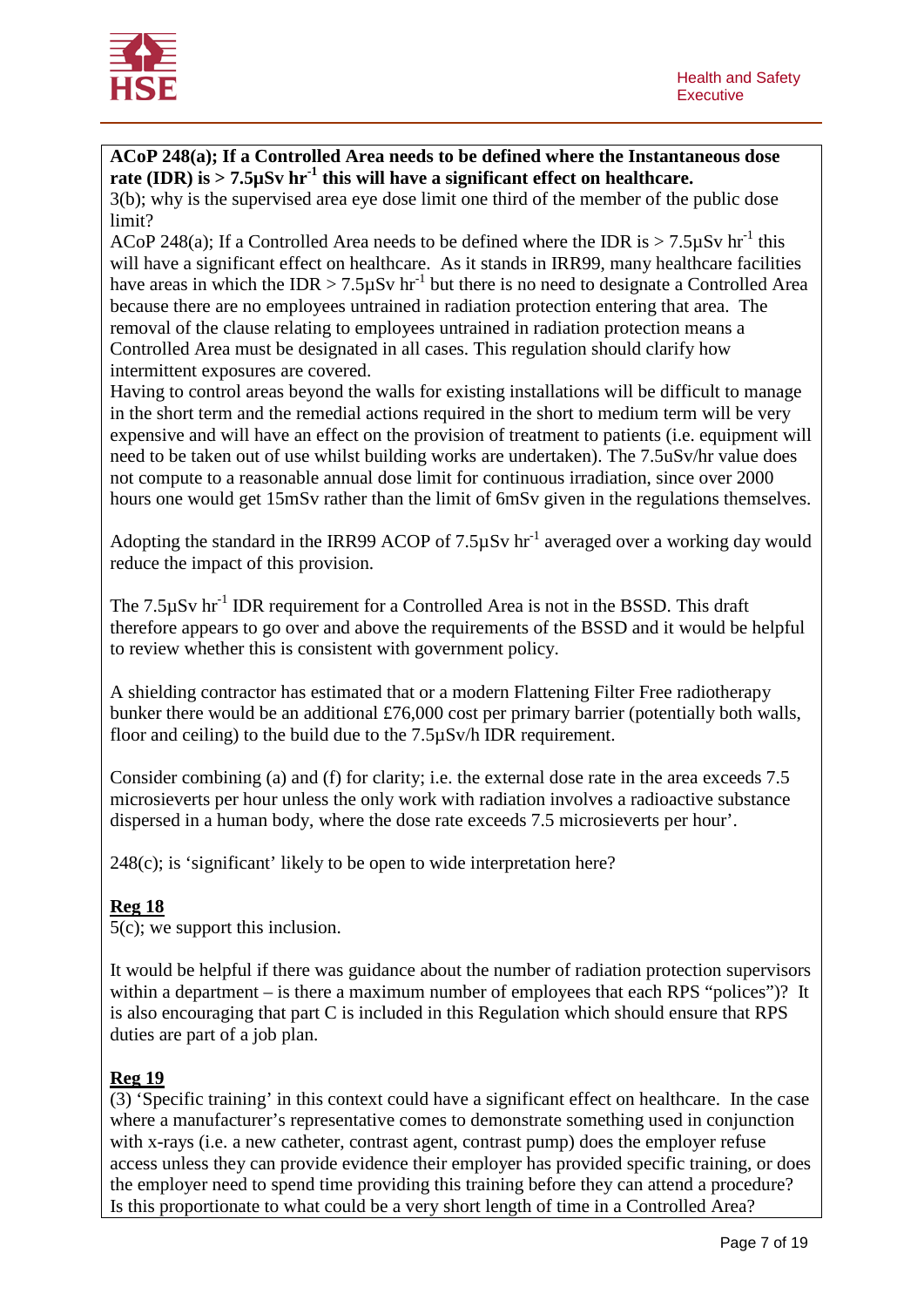

**ACoP 248(a); If a Controlled Area needs to be defined where the Instantaneous dose**  rate (IDR) is  $> 7.5 \mu Sv$  hr<sup>-1</sup> this will have a significant effect on healthcare.

3(b); why is the supervised area eye dose limit one third of the member of the public dose limit?

ACoP 248(a); If a Controlled Area needs to be defined where the IDR is  $> 7.5 \mu Sv$  hr<sup>-1</sup> this will have a significant effect on healthcare. As it stands in IRR99, many healthcare facilities have areas in which the IDR  $>$  7.5 $\mu$ Sv hr<sup>-1</sup> but there is no need to designate a Controlled Area because there are no employees untrained in radiation protection entering that area. The removal of the clause relating to employees untrained in radiation protection means a Controlled Area must be designated in all cases. This regulation should clarify how intermittent exposures are covered.

Having to control areas beyond the walls for existing installations will be difficult to manage in the short term and the remedial actions required in the short to medium term will be very expensive and will have an effect on the provision of treatment to patients (i.e. equipment will need to be taken out of use whilst building works are undertaken). The 7.5uSv/hr value does not compute to a reasonable annual dose limit for continuous irradiation, since over 2000 hours one would get 15mSv rather than the limit of 6mSv given in the regulations themselves.

Adopting the standard in the IRR99 ACOP of  $7.5\mu Sv$  hr<sup>-1</sup> averaged over a working day would reduce the impact of this provision.

The  $7.5\mu Sv$  hr<sup>-1</sup> IDR requirement for a Controlled Area is not in the BSSD. This draft therefore appears to go over and above the requirements of the BSSD and it would be helpful to review whether this is consistent with government policy.

A shielding contractor has estimated that or a modern Flattening Filter Free radiotherapy bunker there would be an additional £76,000 cost per primary barrier (potentially both walls, floor and ceiling) to the build due to the 7.5µSv/h IDR requirement.

Consider combining (a) and (f) for clarity; i.e. the external dose rate in the area exceeds 7.5 microsieverts per hour unless the only work with radiation involves a radioactive substance dispersed in a human body, where the dose rate exceeds 7.5 microsieverts per hour'.

248(c); is 'significant' likely to be open to wide interpretation here?

## **Reg 18**

5(c); we support this inclusion.

It would be helpful if there was guidance about the number of radiation protection supervisors within a department – is there a maximum number of employees that each RPS "polices")? It is also encouraging that part C is included in this Regulation which should ensure that RPS duties are part of a job plan.

### **Reg 19**

(3) 'Specific training' in this context could have a significant effect on healthcare. In the case where a manufacturer's representative comes to demonstrate something used in conjunction with x-rays (i.e. a new catheter, contrast agent, contrast pump) does the employer refuse access unless they can provide evidence their employer has provided specific training, or does the employer need to spend time providing this training before they can attend a procedure? Is this proportionate to what could be a very short length of time in a Controlled Area?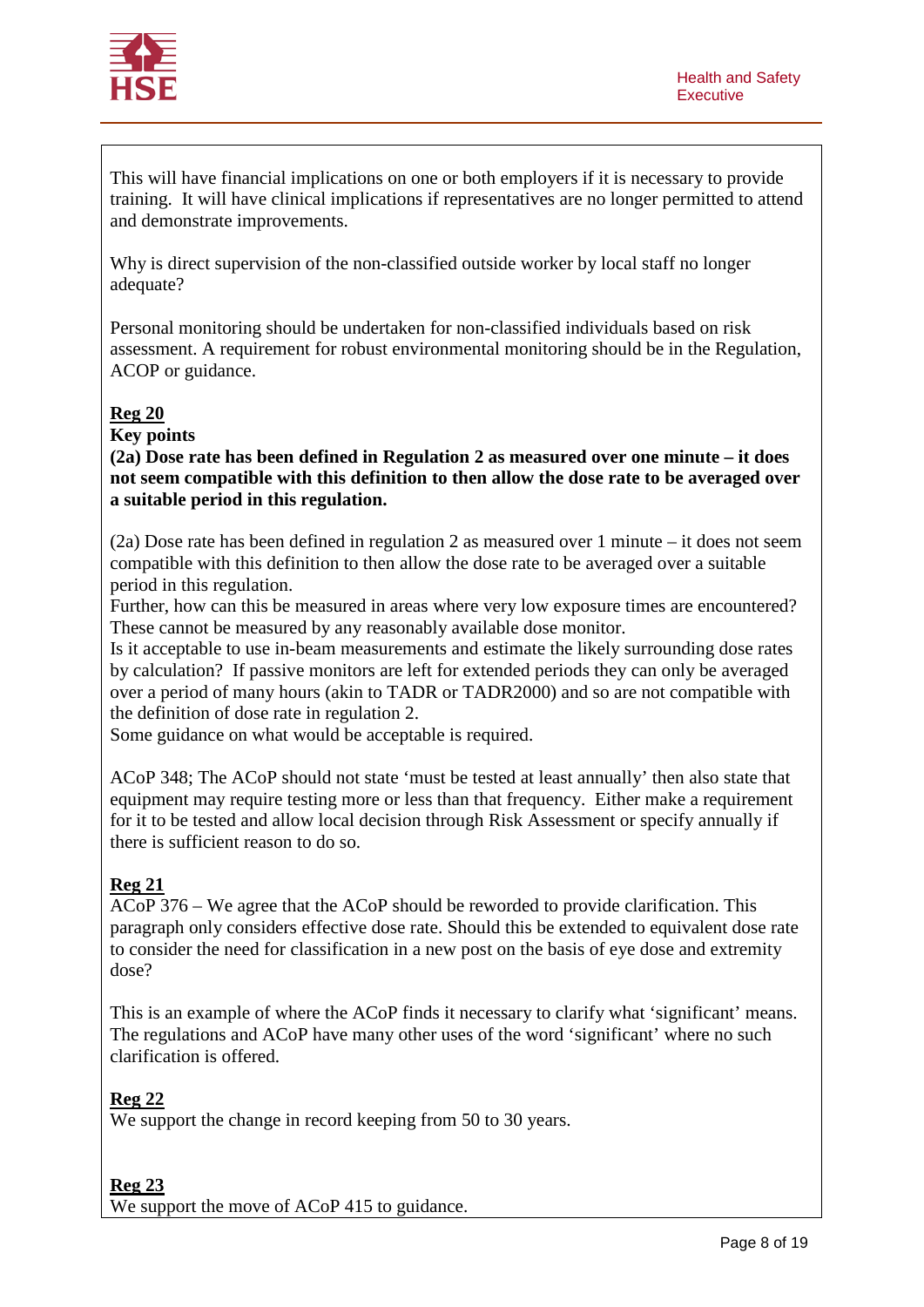

This will have financial implications on one or both employers if it is necessary to provide training. It will have clinical implications if representatives are no longer permitted to attend and demonstrate improvements.

Why is direct supervision of the non-classified outside worker by local staff no longer adequate?

Personal monitoring should be undertaken for non-classified individuals based on risk assessment. A requirement for robust environmental monitoring should be in the Regulation, ACOP or guidance.

### **Reg 20**

**Key points**

**(2a) Dose rate has been defined in Regulation 2 as measured over one minute – it does not seem compatible with this definition to then allow the dose rate to be averaged over a suitable period in this regulation.**

(2a) Dose rate has been defined in regulation 2 as measured over 1 minute – it does not seem compatible with this definition to then allow the dose rate to be averaged over a suitable period in this regulation.

Further, how can this be measured in areas where very low exposure times are encountered? These cannot be measured by any reasonably available dose monitor.

Is it acceptable to use in-beam measurements and estimate the likely surrounding dose rates by calculation? If passive monitors are left for extended periods they can only be averaged over a period of many hours (akin to TADR or TADR2000) and so are not compatible with the definition of dose rate in regulation 2.

Some guidance on what would be acceptable is required.

ACoP 348; The ACoP should not state 'must be tested at least annually' then also state that equipment may require testing more or less than that frequency. Either make a requirement for it to be tested and allow local decision through Risk Assessment or specify annually if there is sufficient reason to do so.

### **Reg 21**

ACoP 376 – We agree that the ACoP should be reworded to provide clarification. This paragraph only considers effective dose rate. Should this be extended to equivalent dose rate to consider the need for classification in a new post on the basis of eye dose and extremity dose?

This is an example of where the ACoP finds it necessary to clarify what 'significant' means. The regulations and ACoP have many other uses of the word 'significant' where no such clarification is offered.

### **Reg 22**

We support the change in record keeping from 50 to 30 years.

#### **Reg 23**

We support the move of ACoP 415 to guidance.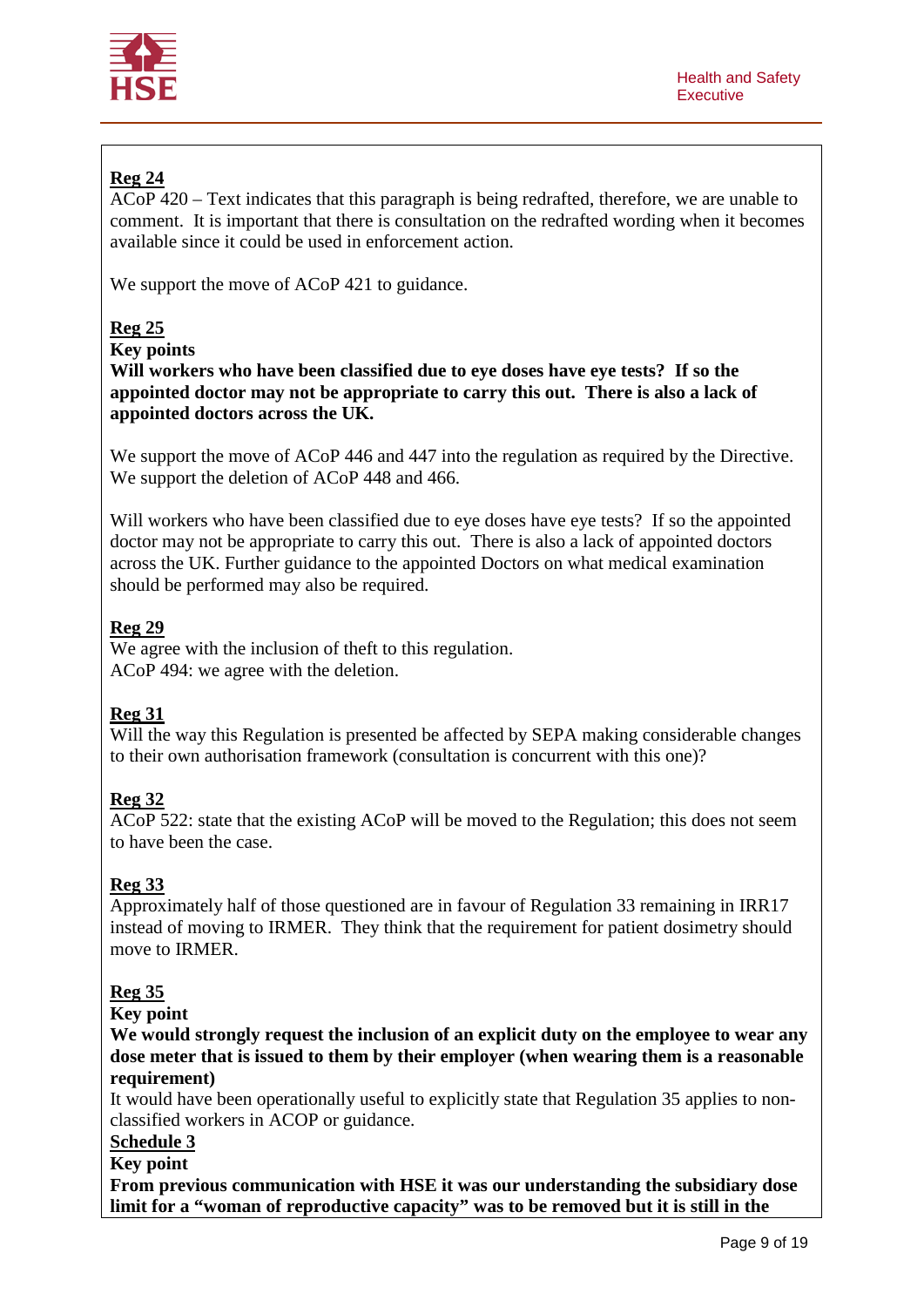

# **Reg 24**

ACoP 420 – Text indicates that this paragraph is being redrafted, therefore, we are unable to comment. It is important that there is consultation on the redrafted wording when it becomes available since it could be used in enforcement action.

We support the move of ACoP 421 to guidance.

## **Reg 25**

**Key points**

**Will workers who have been classified due to eye doses have eye tests? If so the appointed doctor may not be appropriate to carry this out. There is also a lack of appointed doctors across the UK.**

We support the move of ACoP 446 and 447 into the regulation as required by the Directive. We support the deletion of ACoP 448 and 466.

Will workers who have been classified due to eye doses have eye tests? If so the appointed doctor may not be appropriate to carry this out. There is also a lack of appointed doctors across the UK. Further guidance to the appointed Doctors on what medical examination should be performed may also be required.

## **Reg 29**

We agree with the inclusion of theft to this regulation. ACoP 494: we agree with the deletion.

## **Reg 31**

Will the way this Regulation is presented be affected by SEPA making considerable changes to their own authorisation framework (consultation is concurrent with this one)?

## **Reg 32**

ACoP 522: state that the existing ACoP will be moved to the Regulation; this does not seem to have been the case.

## **Reg 33**

Approximately half of those questioned are in favour of Regulation 33 remaining in IRR17 instead of moving to IRMER. They think that the requirement for patient dosimetry should move to IRMER.

## **Reg 35**

**Key point**

**We would strongly request the inclusion of an explicit duty on the employee to wear any dose meter that is issued to them by their employer (when wearing them is a reasonable requirement)**

It would have been operationally useful to explicitly state that Regulation 35 applies to nonclassified workers in ACOP or guidance.

# **Schedule 3**

**Key point**

**From previous communication with HSE it was our understanding the subsidiary dose limit for a "woman of reproductive capacity" was to be removed but it is still in the**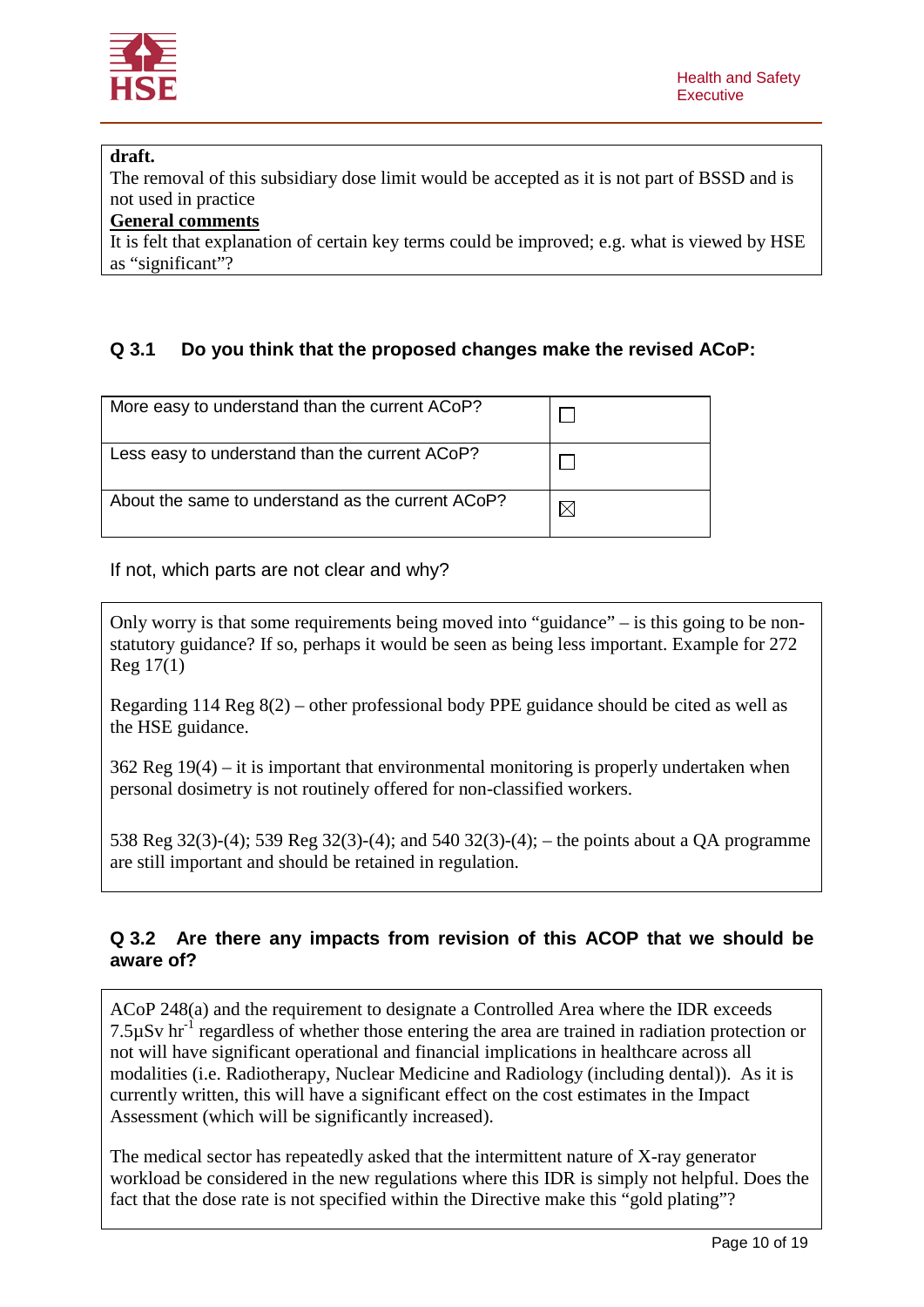

### **draft.**

The removal of this subsidiary dose limit would be accepted as it is not part of BSSD and is not used in practice

### **General comments**

It is felt that explanation of certain key terms could be improved; e.g. what is viewed by HSE as "significant"?

# **Q 3.1 Do you think that the proposed changes make the revised ACoP:**

| More easy to understand than the current ACoP?    |  |
|---------------------------------------------------|--|
| Less easy to understand than the current ACoP?    |  |
| About the same to understand as the current ACoP? |  |

If not, which parts are not clear and why?

Only worry is that some requirements being moved into "guidance" – is this going to be nonstatutory guidance? If so, perhaps it would be seen as being less important. Example for 272 Reg 17(1)

Regarding 114 Reg 8(2) – other professional body PPE guidance should be cited as well as the HSE guidance.

362 Reg 19(4) – it is important that environmental monitoring is properly undertaken when personal dosimetry is not routinely offered for non-classified workers.

538 Reg 32(3)-(4); 539 Reg 32(3)-(4); and 540 32(3)-(4); – the points about a QA programme are still important and should be retained in regulation.

## **Q 3.2 Are there any impacts from revision of this ACOP that we should be aware of?**

ACoP 248(a) and the requirement to designate a Controlled Area where the IDR exceeds 7.5 $\mu$ Sv hr<sup>-1</sup> regardless of whether those entering the area are trained in radiation protection or not will have significant operational and financial implications in healthcare across all modalities (i.e. Radiotherapy, Nuclear Medicine and Radiology (including dental)). As it is currently written, this will have a significant effect on the cost estimates in the Impact Assessment (which will be significantly increased).

The medical sector has repeatedly asked that the intermittent nature of X-ray generator workload be considered in the new regulations where this IDR is simply not helpful. Does the fact that the dose rate is not specified within the Directive make this "gold plating"?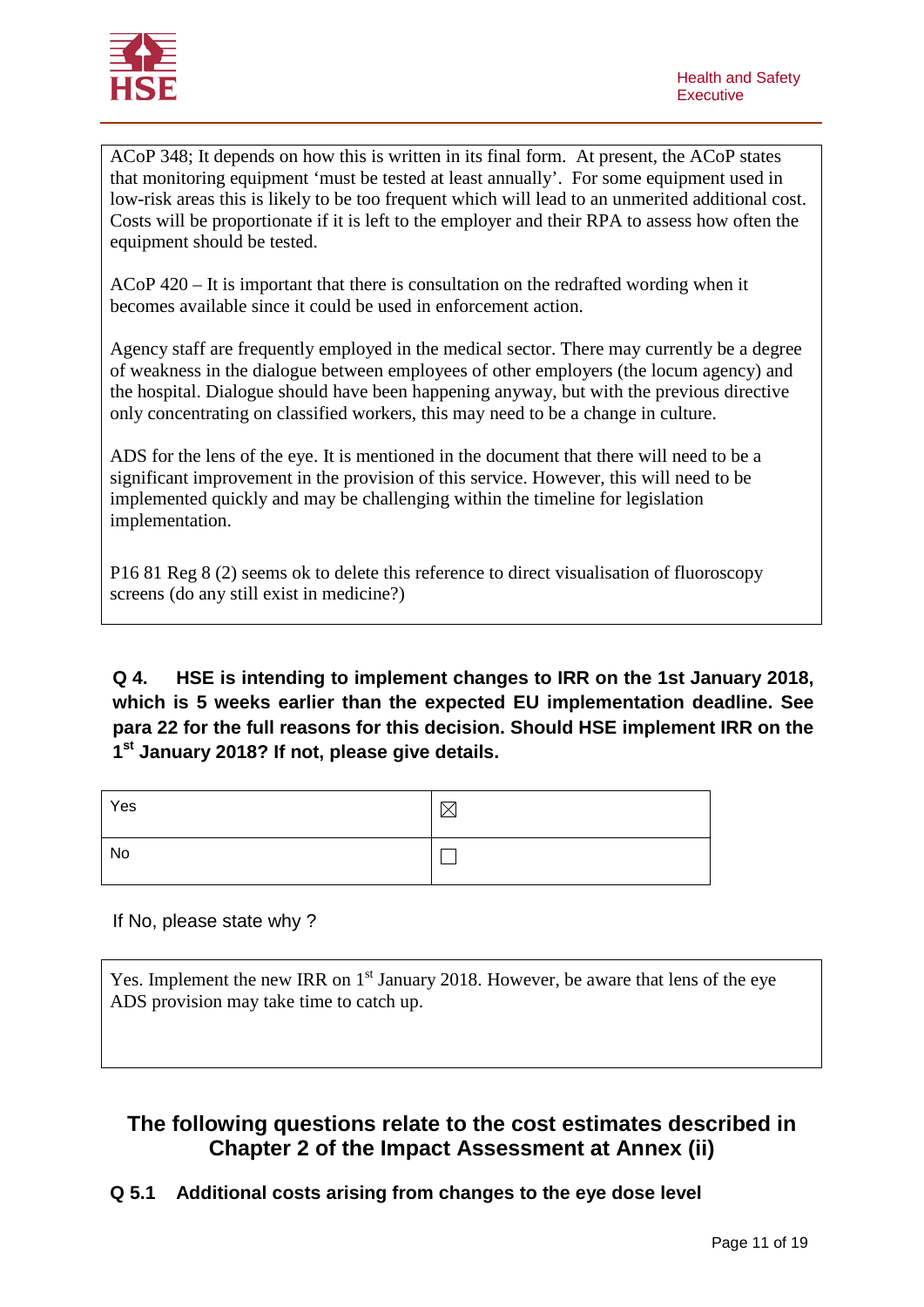

ACoP 348; It depends on how this is written in its final form. At present, the ACoP states that monitoring equipment 'must be tested at least annually'. For some equipment used in low-risk areas this is likely to be too frequent which will lead to an unmerited additional cost. Costs will be proportionate if it is left to the employer and their RPA to assess how often the equipment should be tested.

ACoP 420 – It is important that there is consultation on the redrafted wording when it becomes available since it could be used in enforcement action.

Agency staff are frequently employed in the medical sector. There may currently be a degree of weakness in the dialogue between employees of other employers (the locum agency) and the hospital. Dialogue should have been happening anyway, but with the previous directive only concentrating on classified workers, this may need to be a change in culture.

ADS for the lens of the eye. It is mentioned in the document that there will need to be a significant improvement in the provision of this service. However, this will need to be implemented quickly and may be challenging within the timeline for legislation implementation.

P16 81 Reg 8 (2) seems ok to delete this reference to direct visualisation of fluoroscopy screens (do any still exist in medicine?)

**Q 4. HSE is intending to implement changes to IRR on the 1st January 2018, which is 5 weeks earlier than the expected EU implementation deadline. See para 22 for the full reasons for this decision. Should HSE implement IRR on the 1st January 2018? If not, please give details.** 

| Yes | $\bowtie$ |
|-----|-----------|
| No  |           |

If No, please state why ?

Yes. Implement the new IRR on  $1<sup>st</sup>$  January 2018. However, be aware that lens of the eye ADS provision may take time to catch up.

# **The following questions relate to the cost estimates described in Chapter 2 of the Impact Assessment at Annex (ii)**

**Q 5.1 Additional costs arising from changes to the eye dose level**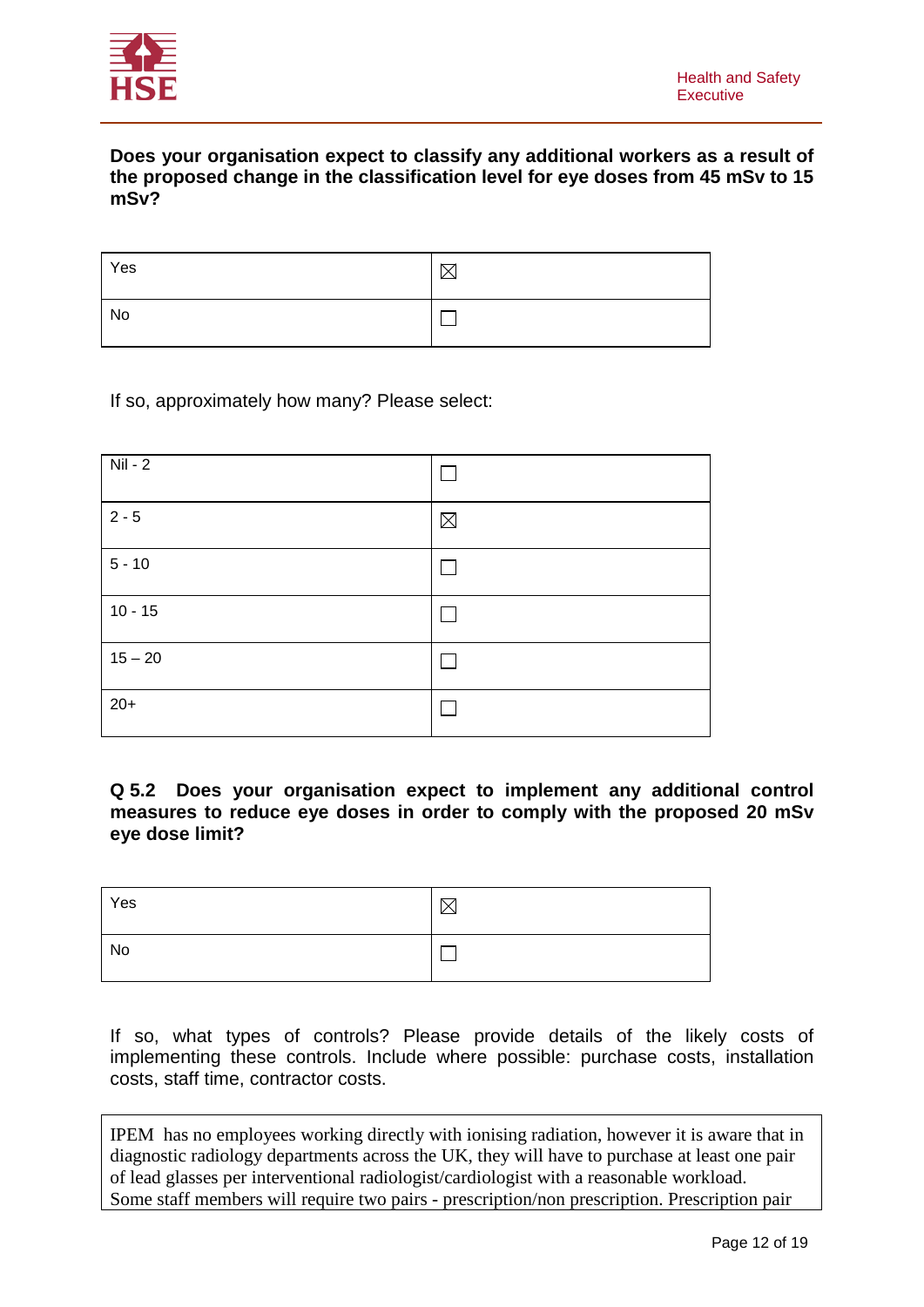

### **Does your organisation expect to classify any additional workers as a result of the proposed change in the classification level for eye doses from 45 mSv to 15 mSv?**

| Yes |  |
|-----|--|
| No  |  |

### If so, approximately how many? Please select:

| $Nil - 2$ |             |
|-----------|-------------|
| $2 - 5$   | $\boxtimes$ |
| $5 - 10$  |             |
| $10 - 15$ |             |
| $15 - 20$ |             |
| $20+$     |             |

#### **Q 5.2 Does your organisation expect to implement any additional control measures to reduce eye doses in order to comply with the proposed 20 mSv eye dose limit?**

| Yes | ⌒ |
|-----|---|
| No  |   |

If so, what types of controls? Please provide details of the likely costs of implementing these controls. Include where possible: purchase costs, installation costs, staff time, contractor costs.

IPEM has no employees working directly with ionising radiation, however it is aware that in diagnostic radiology departments across the UK, they will have to purchase at least one pair of lead glasses per interventional radiologist/cardiologist with a reasonable workload. Some staff members will require two pairs - prescription/non prescription. Prescription pair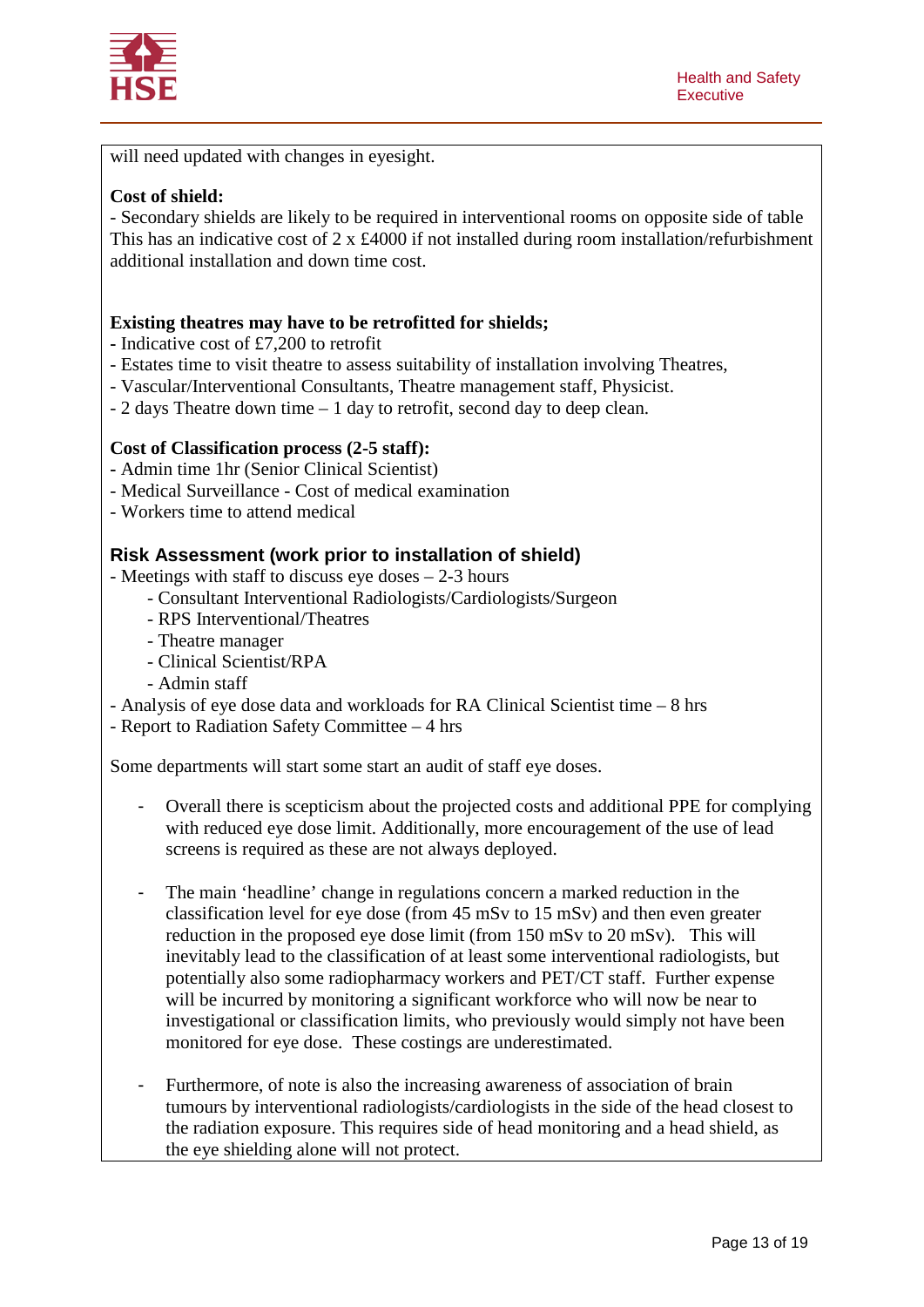

will need updated with changes in eyesight.

#### **Cost of shield:**

- Secondary shields are likely to be required in interventional rooms on opposite side of table This has an indicative cost of 2 x £4000 if not installed during room installation/refurbishment additional installation and down time cost.

#### **Existing theatres may have to be retrofitted for shields;**

- **-** Indicative cost of £7,200 to retrofit
- Estates time to visit theatre to assess suitability of installation involving Theatres,
- Vascular/Interventional Consultants, Theatre management staff, Physicist.
- 2 days Theatre down time 1 day to retrofit, second day to deep clean.

#### **Cost of Classification process (2-5 staff):**

- **-** Admin time 1hr (Senior Clinical Scientist)
- Medical Surveillance Cost of medical examination
- Workers time to attend medical

#### **Risk Assessment (work prior to installation of shield)**

- Meetings with staff to discuss eye doses 2-3 hours
	- Consultant Interventional Radiologists/Cardiologists/Surgeon
	- RPS Interventional/Theatres
	- Theatre manager
	- Clinical Scientist/RPA
	- Admin staff
- Analysis of eye dose data and workloads for RA Clinical Scientist time 8 hrs

- Report to Radiation Safety Committee – 4 hrs

Some departments will start some start an audit of staff eye doses.

- Overall there is scepticism about the projected costs and additional PPE for complying with reduced eye dose limit. Additionally, more encouragement of the use of lead screens is required as these are not always deployed.
- The main 'headline' change in regulations concern a marked reduction in the classification level for eye dose (from 45 mSv to 15 mSv) and then even greater reduction in the proposed eye dose limit (from 150 mSv to 20 mSv). This will inevitably lead to the classification of at least some interventional radiologists, but potentially also some radiopharmacy workers and PET/CT staff. Further expense will be incurred by monitoring a significant workforce who will now be near to investigational or classification limits, who previously would simply not have been monitored for eye dose. These costings are underestimated.
- Furthermore, of note is also the increasing awareness of association of brain tumours by interventional radiologists/cardiologists in the side of the head closest to the radiation exposure. This requires side of head monitoring and a head shield, as the eye shielding alone will not protect.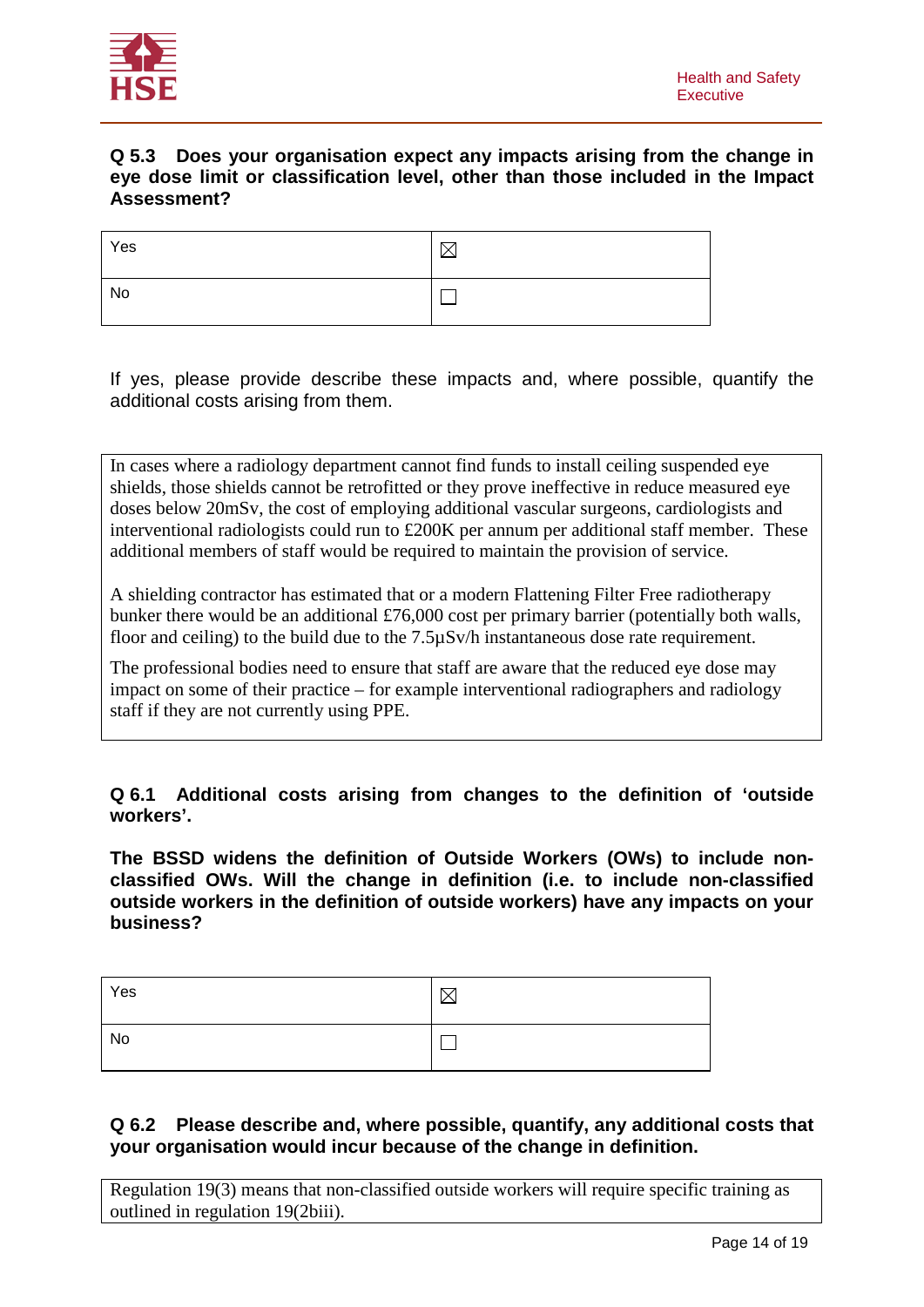

### **Q 5.3 Does your organisation expect any impacts arising from the change in eye dose limit or classification level, other than those included in the Impact Assessment?**

| Yes | ☞ |
|-----|---|
| No  |   |

If yes, please provide describe these impacts and, where possible, quantify the additional costs arising from them.

In cases where a radiology department cannot find funds to install ceiling suspended eye shields, those shields cannot be retrofitted or they prove ineffective in reduce measured eye doses below 20mSv, the cost of employing additional vascular surgeons, cardiologists and interventional radiologists could run to £200K per annum per additional staff member. These additional members of staff would be required to maintain the provision of service.

A shielding contractor has estimated that or a modern Flattening Filter Free radiotherapy bunker there would be an additional £76,000 cost per primary barrier (potentially both walls, floor and ceiling) to the build due to the 7.5µSv/h instantaneous dose rate requirement.

The professional bodies need to ensure that staff are aware that the reduced eye dose may impact on some of their practice – for example interventional radiographers and radiology staff if they are not currently using PPE.

### **Q 6.1 Additional costs arising from changes to the definition of 'outside workers'.**

**The BSSD widens the definition of Outside Workers (OWs) to include nonclassified OWs. Will the change in definition (i.e. to include non-classified outside workers in the definition of outside workers) have any impacts on your business?**

| Yes | ╲. |
|-----|----|
| No  |    |

### **Q 6.2 Please describe and, where possible, quantify, any additional costs that your organisation would incur because of the change in definition.**

Regulation 19(3) means that non-classified outside workers will require specific training as outlined in regulation 19(2biii).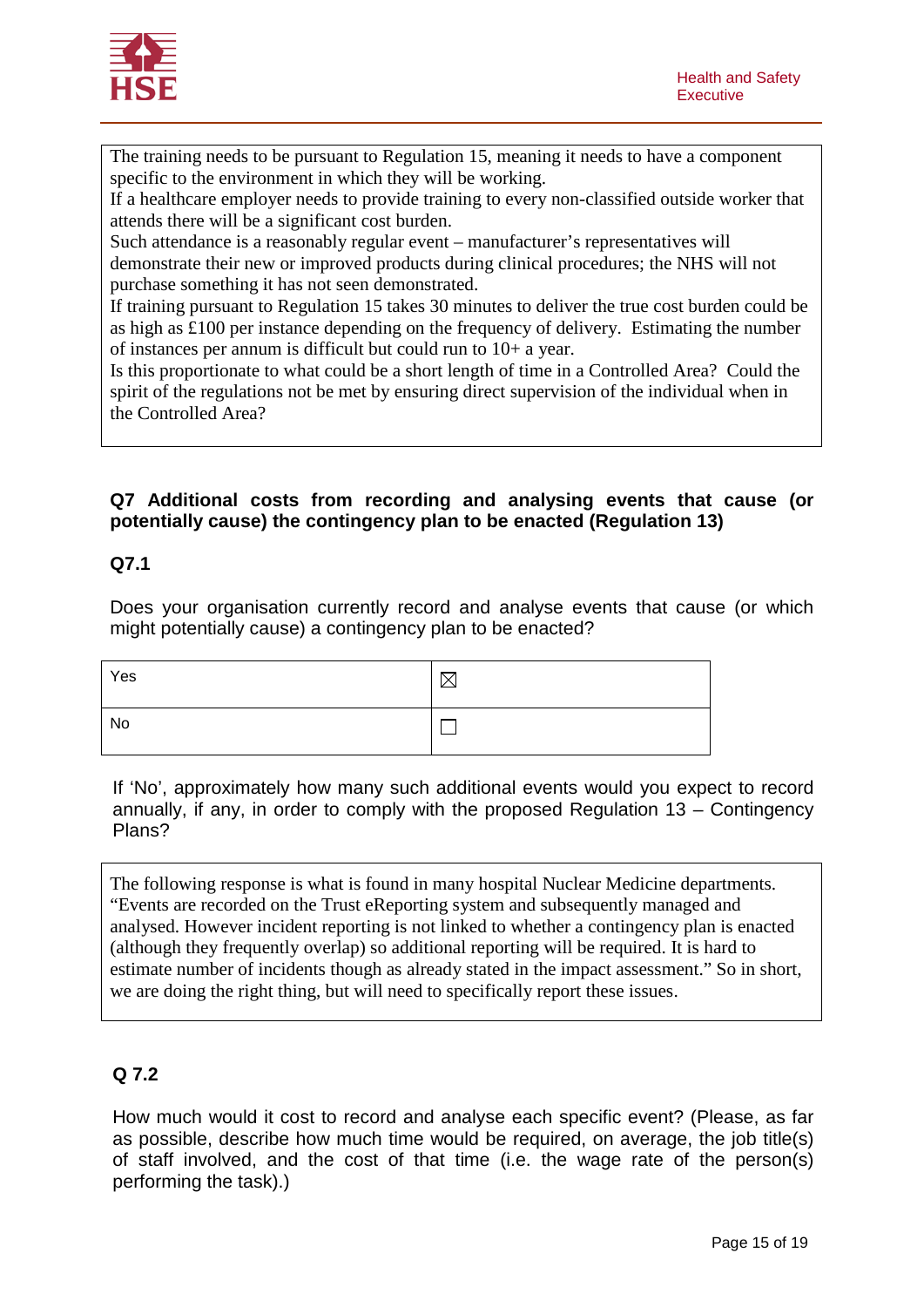

The training needs to be pursuant to Regulation 15, meaning it needs to have a component specific to the environment in which they will be working.

If a healthcare employer needs to provide training to every non-classified outside worker that attends there will be a significant cost burden.

Such attendance is a reasonably regular event – manufacturer's representatives will demonstrate their new or improved products during clinical procedures; the NHS will not purchase something it has not seen demonstrated.

If training pursuant to Regulation 15 takes 30 minutes to deliver the true cost burden could be as high as £100 per instance depending on the frequency of delivery. Estimating the number of instances per annum is difficult but could run to 10+ a year.

Is this proportionate to what could be a short length of time in a Controlled Area? Could the spirit of the regulations not be met by ensuring direct supervision of the individual when in the Controlled Area?

### **Q7 Additional costs from recording and analysing events that cause (or potentially cause) the contingency plan to be enacted (Regulation 13)**

### **Q7.1**

Does your organisation currently record and analyse events that cause (or which might potentially cause) a contingency plan to be enacted?

| Yes |  |
|-----|--|
| No  |  |

If 'No', approximately how many such additional events would you expect to record annually, if any, in order to comply with the proposed Regulation 13 – Contingency Plans?

The following response is what is found in many hospital Nuclear Medicine departments. "Events are recorded on the Trust eReporting system and subsequently managed and analysed. However incident reporting is not linked to whether a contingency plan is enacted (although they frequently overlap) so additional reporting will be required. It is hard to estimate number of incidents though as already stated in the impact assessment." So in short, we are doing the right thing, but will need to specifically report these issues.

## **Q 7.2**

How much would it cost to record and analyse each specific event? (Please, as far as possible, describe how much time would be required, on average, the job title(s) of staff involved, and the cost of that time (i.e. the wage rate of the person(s) performing the task).)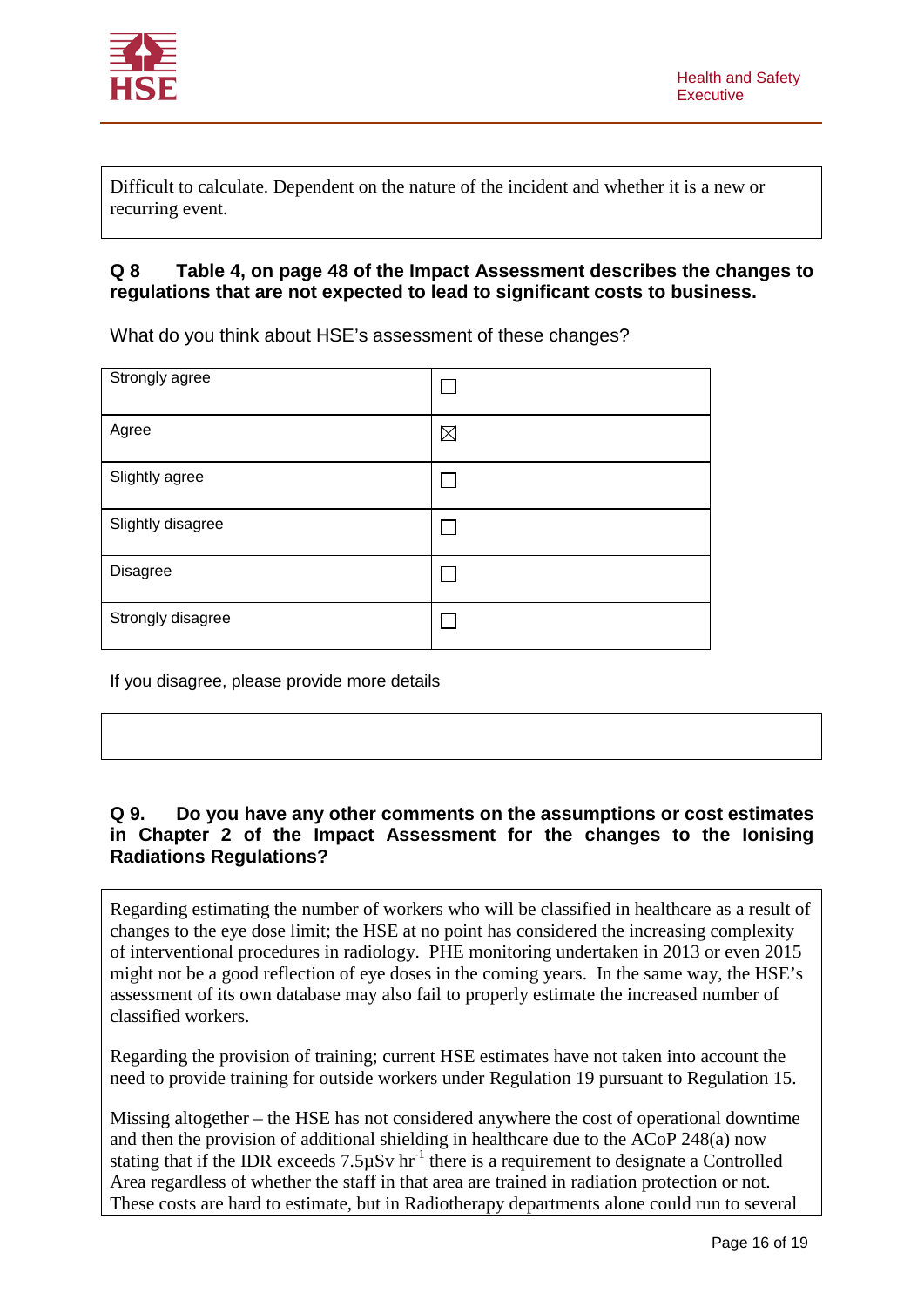

Difficult to calculate. Dependent on the nature of the incident and whether it is a new or recurring event.

### **Q 8 Table 4, on page 48 of the Impact Assessment describes the changes to regulations that are not expected to lead to significant costs to business.**

What do you think about HSE's assessment of these changes?

| Strongly agree    |             |
|-------------------|-------------|
| Agree             | $\boxtimes$ |
| Slightly agree    |             |
| Slightly disagree |             |
| Disagree          |             |
| Strongly disagree |             |

If you disagree, please provide more details

### **Q 9. Do you have any other comments on the assumptions or cost estimates in Chapter 2 of the Impact Assessment for the changes to the Ionising Radiations Regulations?**

Regarding estimating the number of workers who will be classified in healthcare as a result of changes to the eye dose limit; the HSE at no point has considered the increasing complexity of interventional procedures in radiology. PHE monitoring undertaken in 2013 or even 2015 might not be a good reflection of eye doses in the coming years. In the same way, the HSE's assessment of its own database may also fail to properly estimate the increased number of classified workers.

Regarding the provision of training; current HSE estimates have not taken into account the need to provide training for outside workers under Regulation 19 pursuant to Regulation 15.

Missing altogether – the HSE has not considered anywhere the cost of operational downtime and then the provision of additional shielding in healthcare due to the ACoP 248(a) now stating that if the IDR exceeds  $7.5\mu Sv$  hr<sup>-1</sup> there is a requirement to designate a Controlled Area regardless of whether the staff in that area are trained in radiation protection or not. These costs are hard to estimate, but in Radiotherapy departments alone could run to several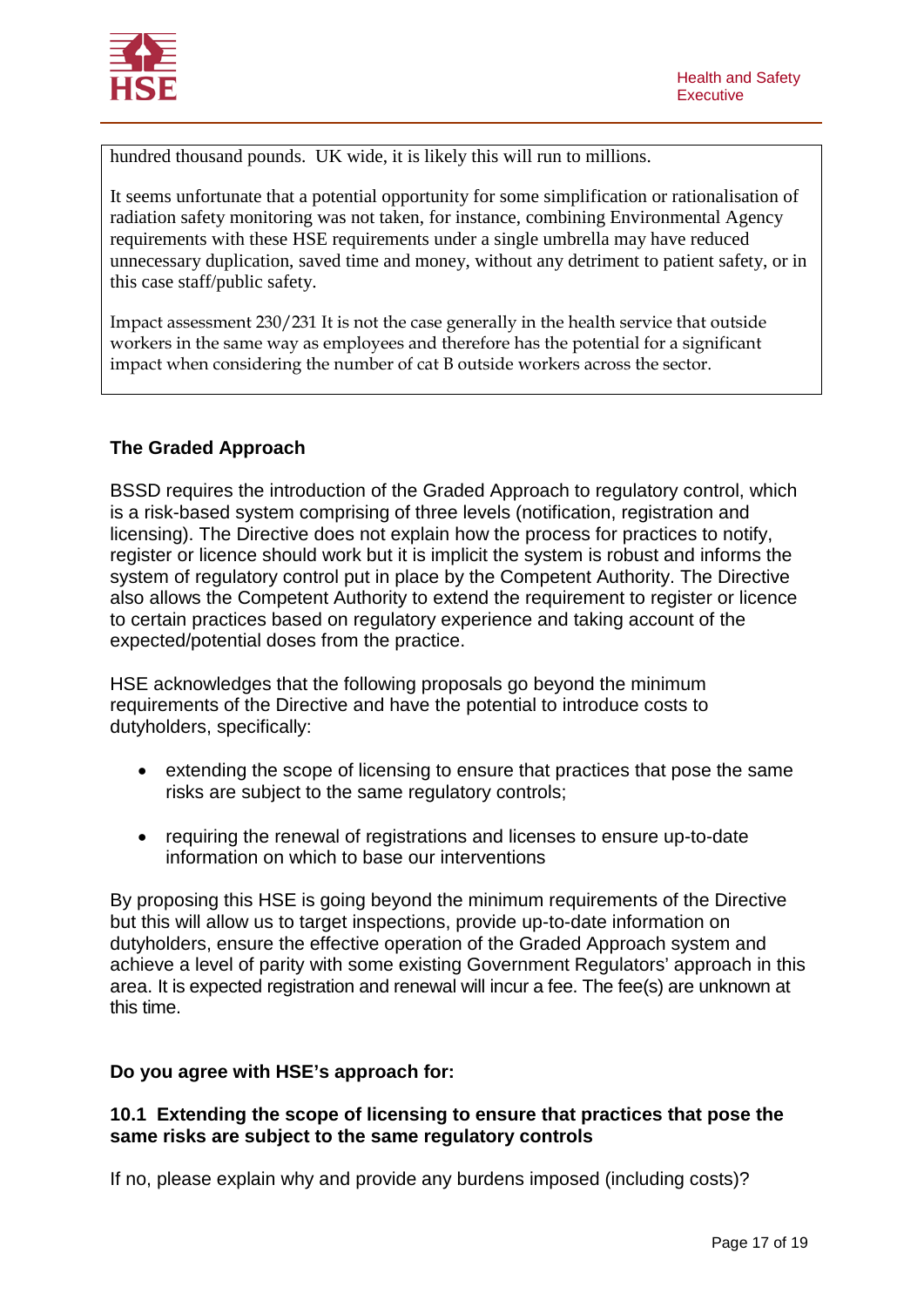

hundred thousand pounds. UK wide, it is likely this will run to millions.

It seems unfortunate that a potential opportunity for some simplification or rationalisation of radiation safety monitoring was not taken, for instance, combining Environmental Agency requirements with these HSE requirements under a single umbrella may have reduced unnecessary duplication, saved time and money, without any detriment to patient safety, or in this case staff/public safety.

Impact assessment 230/231 It is not the case generally in the health service that outside workers in the same way as employees and therefore has the potential for a significant impact when considering the number of cat B outside workers across the sector.

### **The Graded Approach**

BSSD requires the introduction of the Graded Approach to regulatory control, which is a risk-based system comprising of three levels (notification, registration and licensing). The Directive does not explain how the process for practices to notify, register or licence should work but it is implicit the system is robust and informs the system of regulatory control put in place by the Competent Authority. The Directive also allows the Competent Authority to extend the requirement to register or licence to certain practices based on regulatory experience and taking account of the expected/potential doses from the practice.

HSE acknowledges that the following proposals go beyond the minimum requirements of the Directive and have the potential to introduce costs to dutyholders, specifically:

- extending the scope of licensing to ensure that practices that pose the same risks are subject to the same regulatory controls;
- requiring the renewal of registrations and licenses to ensure up-to-date information on which to base our interventions

By proposing this HSE is going beyond the minimum requirements of the Directive but this will allow us to target inspections, provide up-to-date information on dutyholders, ensure the effective operation of the Graded Approach system and achieve a level of parity with some existing Government Regulators' approach in this area. It is expected registration and renewal will incur a fee. The fee(s) are unknown at this time.

### **Do you agree with HSE's approach for:**

### **10.1 Extending the scope of licensing to ensure that practices that pose the same risks are subject to the same regulatory controls**

If no, please explain why and provide any burdens imposed (including costs)?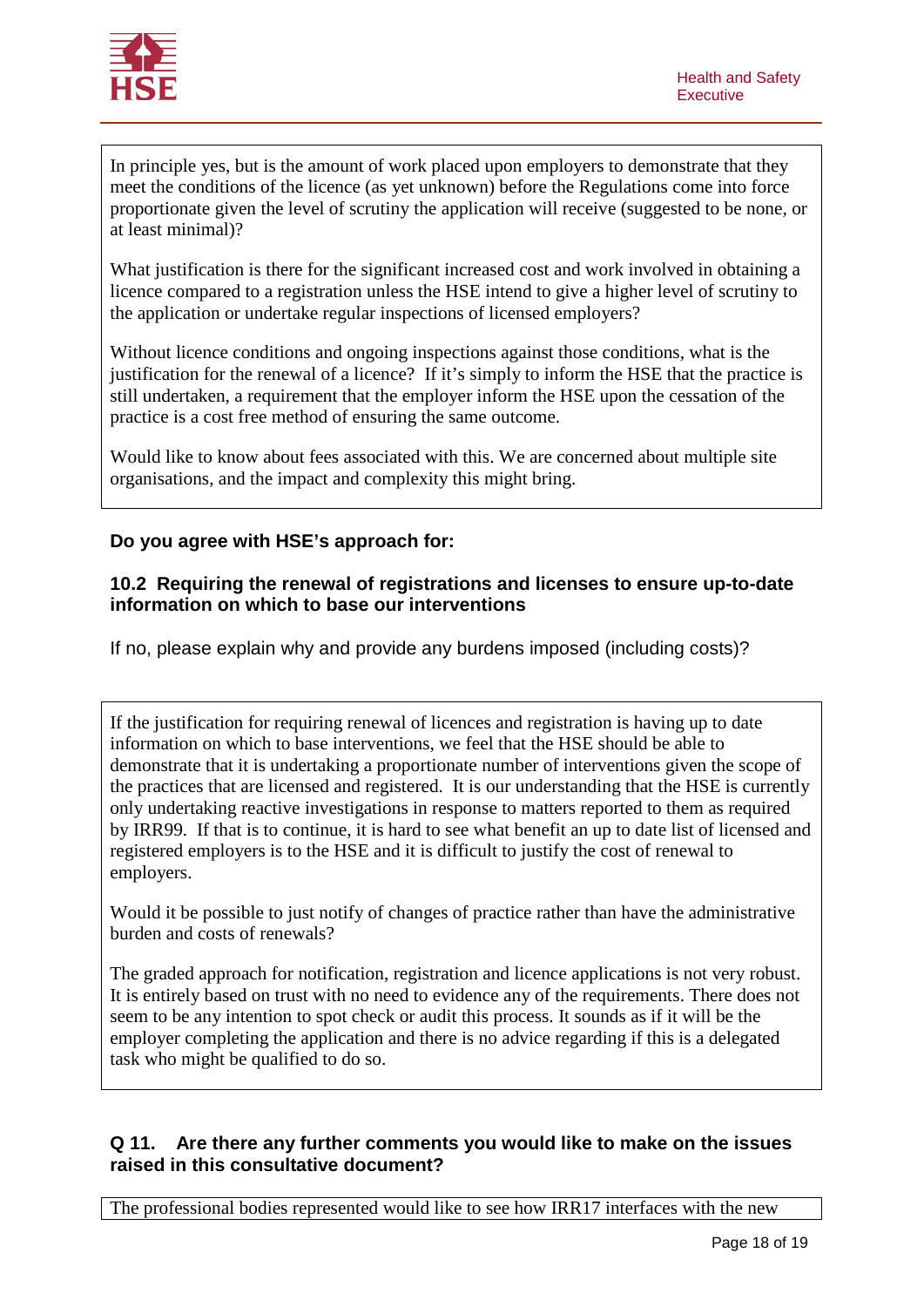

In principle yes, but is the amount of work placed upon employers to demonstrate that they meet the conditions of the licence (as yet unknown) before the Regulations come into force proportionate given the level of scrutiny the application will receive (suggested to be none, or at least minimal)?

What justification is there for the significant increased cost and work involved in obtaining a licence compared to a registration unless the HSE intend to give a higher level of scrutiny to the application or undertake regular inspections of licensed employers?

Without licence conditions and ongoing inspections against those conditions, what is the justification for the renewal of a licence? If it's simply to inform the HSE that the practice is still undertaken, a requirement that the employer inform the HSE upon the cessation of the practice is a cost free method of ensuring the same outcome.

Would like to know about fees associated with this. We are concerned about multiple site organisations, and the impact and complexity this might bring.

### **Do you agree with HSE's approach for:**

#### **10.2 Requiring the renewal of registrations and licenses to ensure up-to-date information on which to base our interventions**

If no, please explain why and provide any burdens imposed (including costs)?

If the justification for requiring renewal of licences and registration is having up to date information on which to base interventions, we feel that the HSE should be able to demonstrate that it is undertaking a proportionate number of interventions given the scope of the practices that are licensed and registered. It is our understanding that the HSE is currently only undertaking reactive investigations in response to matters reported to them as required by IRR99. If that is to continue, it is hard to see what benefit an up to date list of licensed and registered employers is to the HSE and it is difficult to justify the cost of renewal to employers.

Would it be possible to just notify of changes of practice rather than have the administrative burden and costs of renewals?

The graded approach for notification, registration and licence applications is not very robust. It is entirely based on trust with no need to evidence any of the requirements. There does not seem to be any intention to spot check or audit this process. It sounds as if it will be the employer completing the application and there is no advice regarding if this is a delegated task who might be qualified to do so.

### **Q 11. Are there any further comments you would like to make on the issues raised in this consultative document?**

The professional bodies represented would like to see how IRR17 interfaces with the new